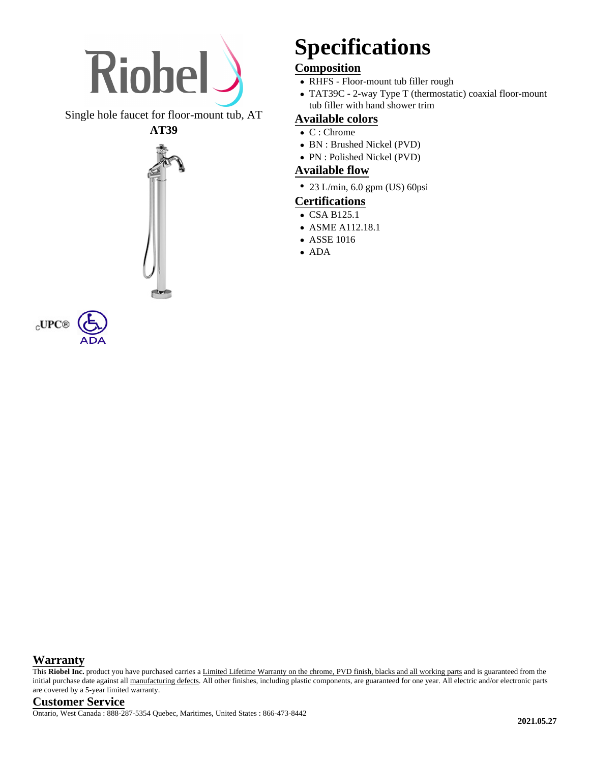

Single hole faucet for floor-mount tub, AT





# **Specifications**

# **Composition**

- RHFS Floor-mount tub filler rough
- TAT39C 2-way Type T (thermostatic) coaxial floor-mount tub filler with hand shower trim

#### **Available colors**

- C : Chrome
- BN : Brushed Nickel (PVD)
- PN : Polished Nickel (PVD)

### **Available flow**

• 23 L/min, 6.0 gpm (US) 60psi

## **Certifications**

- CSA B125.1
- ASME A112.18.1
- ASSE 1016
- ADA

#### **Warranty**

This Riobel Inc. product you have purchased carries a Limited Lifetime Warranty on the chrome, PVD finish, blacks and all working parts and is guaranteed from the initial purchase date against all manufacturing defects. All other finishes, including plastic components, are guaranteed for one year. All electric and/or electronic parts are covered by a 5-year limited warranty.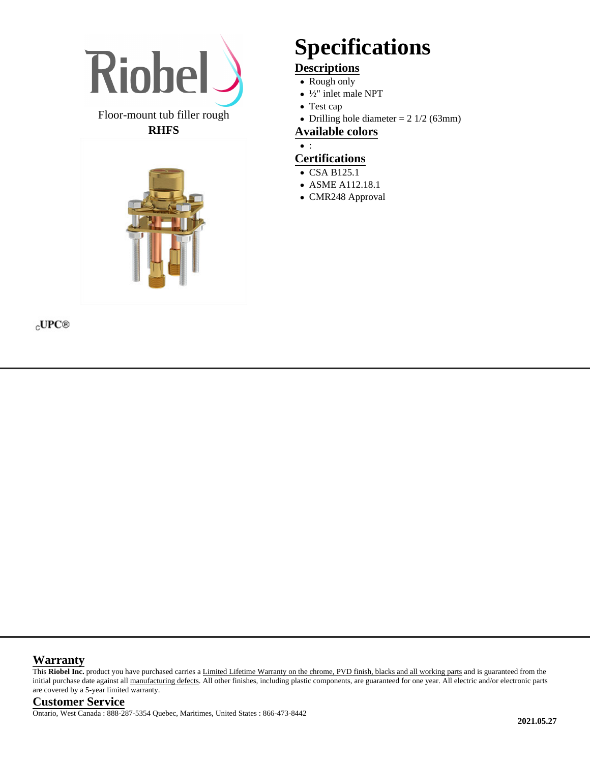

#### Floor-mount tub filler rough **RHFS**



#### $_{\rm C}$ UPC®

# **Specifications**

# **Descriptions**

- Rough only
- ½" inlet male NPT
- Test cap
- Drilling hole diameter  $= 2 \frac{1}{2} (63 \text{mm})$

#### **Available colors**

 $\bullet$  :

# **Certifications**

- CSA B125.1
- ASME A112.18.1
- CMR248 Approval

#### **Warranty**

This Riobel Inc. product you have purchased carries a Limited Lifetime Warranty on the chrome, PVD finish, blacks and all working parts and is guaranteed from the initial purchase date against all manufacturing defects. All other finishes, including plastic components, are guaranteed for one year. All electric and/or electronic parts are covered by a 5-year limited warranty.

#### **Customer Service**

Ontario, West Canada : 888-287-5354 Quebec, Maritimes, United States : 866-473-8442